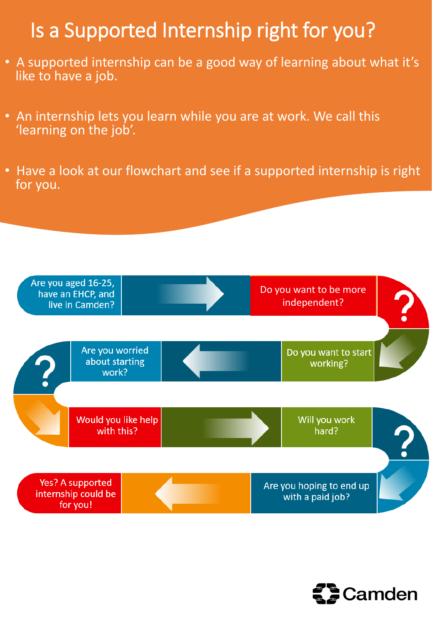## Is a Supported Internship right for you?

- A supported internship can be a good way of learning about what it's like to have a job.
- An internship lets you learn while you are at work. We call this 'learning on the job'.
- Have a look at our flowchart and see if a supported internship is right for you.